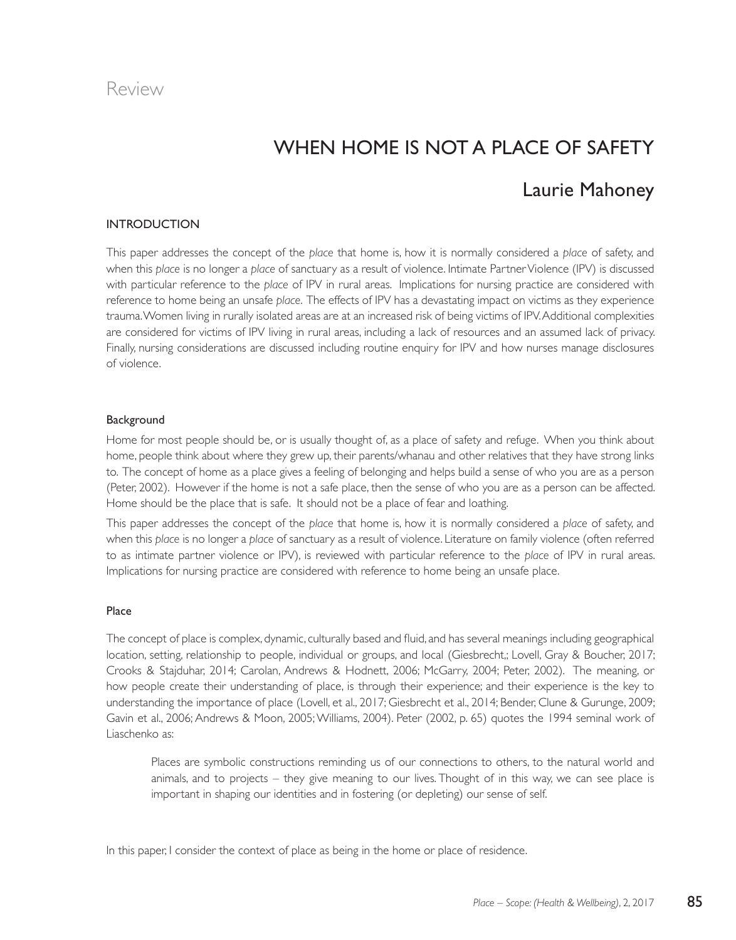### Review

# when home is not a Place of safety

## Laurie Mahoney

#### INTRODUCTION

This paper addresses the concept of the *place* that home is, how it is normally considered a *place* of safety, and when this *place* is no longer a *place* of sanctuary as a result of violence. Intimate Partner Violence (IPV) is discussed with particular reference to the *place* of IPV in rural areas. Implications for nursing practice are considered with reference to home being an unsafe *place*. The effects of IPV has a devastating impact on victims as they experience trauma. Women living in rurally isolated areas are at an increased risk of being victims of IPV. Additional complexities are considered for victims of IPV living in rural areas, including a lack of resources and an assumed lack of privacy. Finally, nursing considerations are discussed including routine enquiry for IPV and how nurses manage disclosures of violence.

#### **Background**

Home for most people should be, or is usually thought of, as a place of safety and refuge. When you think about home, people think about where they grew up, their parents/whanau and other relatives that they have strong links to. The concept of home as a place gives a feeling of belonging and helps build a sense of who you are as a person (Peter, 2002). However if the home is not a safe place, then the sense of who you are as a person can be affected. Home should be the place that is safe. It should not be a place of fear and loathing.

This paper addresses the concept of the *place* that home is, how it is normally considered a *place* of safety, and when this *place* is no longer a *place* of sanctuary as a result of violence. Literature on family violence (often referred to as intimate partner violence or IPV), is reviewed with particular reference to the *place* of IPV in rural areas. Implications for nursing practice are considered with reference to home being an unsafe place.

#### Place

The concept of place is complex, dynamic, culturally based and fluid, and has several meanings including geographical location, setting, relationship to people, individual or groups, and local (Giesbrecht,; Lovell, Gray & Boucher, 2017; Crooks & Stajduhar, 2014; Carolan, Andrews & Hodnett, 2006; McGarry, 2004; Peter, 2002). The meaning, or how people create their understanding of place, is through their experience; and their experience is the key to understanding the importance of place (Lovell, et al., 2017; Giesbrecht et al., 2014; Bender, Clune & Gurunge, 2009; Gavin et al., 2006; Andrews & Moon, 2005; Williams, 2004). Peter (2002, p. 65) quotes the 1994 seminal work of Liaschenko as:

Places are symbolic constructions reminding us of our connections to others, to the natural world and animals, and to projects – they give meaning to our lives. Thought of in this way, we can see place is important in shaping our identities and in fostering (or depleting) our sense of self.

In this paper, I consider the context of place as being in the home or place of residence.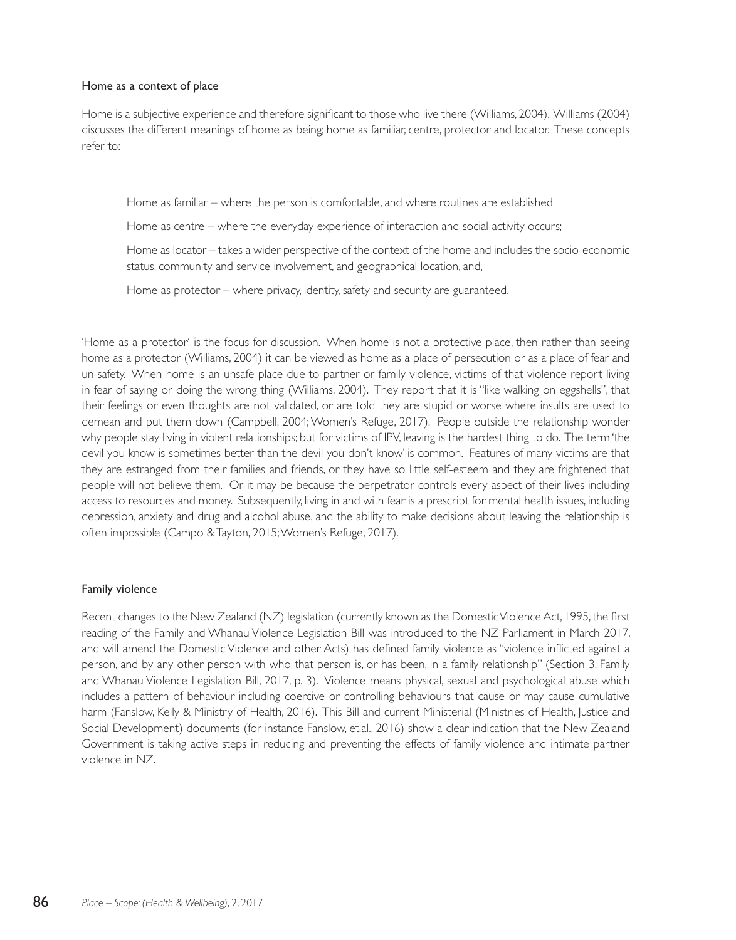#### Home as a context of place

Home is a subjective experience and therefore significant to those who live there (Williams, 2004). Williams (2004) discusses the different meanings of home as being; home as familiar, centre, protector and locator. These concepts refer to:

Home as familiar – where the person is comfortable, and where routines are established

Home as centre – where the everyday experience of interaction and social activity occurs;

Home as locator – takes a wider perspective of the context of the home and includes the socio-economic status, community and service involvement, and geographical location, and,

Home as protector – where privacy, identity, safety and security are guaranteed.

'Home as a protector' is the focus for discussion. When home is not a protective place, then rather than seeing home as a protector (Williams, 2004) it can be viewed as home as a place of persecution or as a place of fear and un-safety. When home is an unsafe place due to partner or family violence, victims of that violence report living in fear of saying or doing the wrong thing (Williams, 2004). They report that it is "like walking on eggshells", that their feelings or even thoughts are not validated, or are told they are stupid or worse where insults are used to demean and put them down (Campbell, 2004; Women's Refuge, 2017). People outside the relationship wonder why people stay living in violent relationships; but for victims of IPV, leaving is the hardest thing to do. The term 'the devil you know is sometimes better than the devil you don't know' is common. Features of many victims are that they are estranged from their families and friends, or they have so little self-esteem and they are frightened that people will not believe them. Or it may be because the perpetrator controls every aspect of their lives including access to resources and money. Subsequently, living in and with fear is a prescript for mental health issues, including depression, anxiety and drug and alcohol abuse, and the ability to make decisions about leaving the relationship is often impossible (Campo & Tayton, 2015; Women's Refuge, 2017).

#### Family violence

Recent changes to the New Zealand (NZ) legislation (currently known as the Domestic Violence Act, 1995, the first reading of the Family and Whanau Violence Legislation Bill was introduced to the NZ Parliament in March 2017, and will amend the Domestic Violence and other Acts) has defined family violence as "violence inflicted against a person, and by any other person with who that person is, or has been, in a family relationship" (Section 3, Family and Whanau Violence Legislation Bill, 2017, p. 3). Violence means physical, sexual and psychological abuse which includes a pattern of behaviour including coercive or controlling behaviours that cause or may cause cumulative harm (Fanslow, Kelly & Ministry of Health, 2016). This Bill and current Ministerial (Ministries of Health, Justice and Social Development) documents (for instance Fanslow, et.al., 2016) show a clear indication that the New Zealand Government is taking active steps in reducing and preventing the effects of family violence and intimate partner violence in NZ.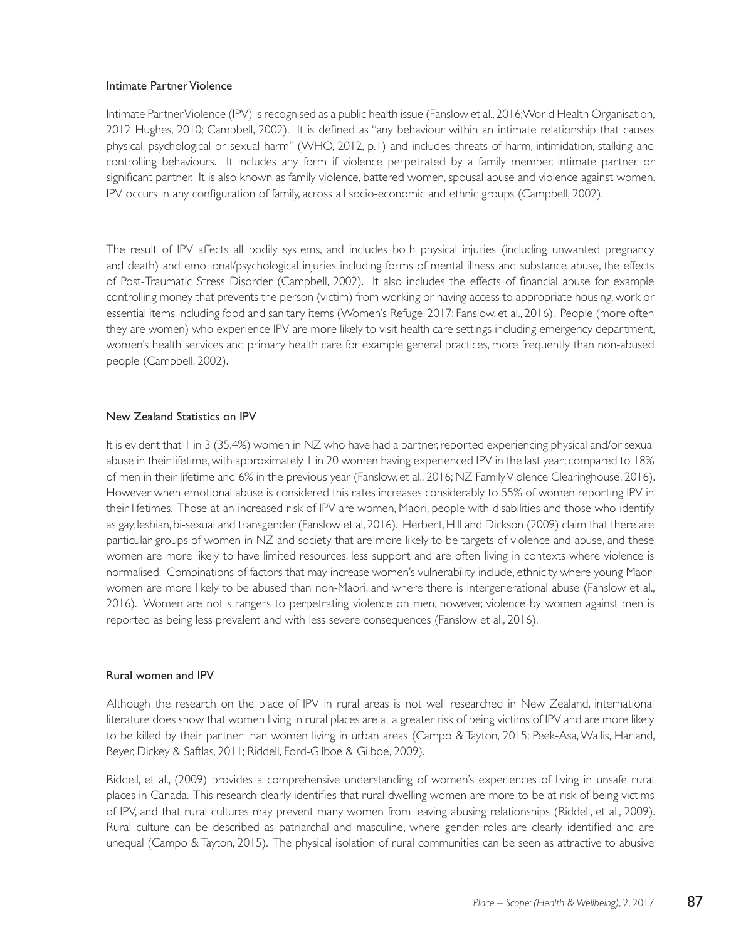#### Intimate Partner Violence

Intimate Partner Violence (IPV) is recognised as a public health issue (Fanslow et al., 2016;World Health Organisation, 2012 Hughes, 2010; Campbell, 2002). It is defined as "any behaviour within an intimate relationship that causes physical, psychological or sexual harm" (WHO, 2012, p.1) and includes threats of harm, intimidation, stalking and controlling behaviours. It includes any form if violence perpetrated by a family member, intimate partner or significant partner. It is also known as family violence, battered women, spousal abuse and violence against women. IPV occurs in any configuration of family, across all socio-economic and ethnic groups (Campbell, 2002).

The result of IPV affects all bodily systems, and includes both physical injuries (including unwanted pregnancy and death) and emotional/psychological injuries including forms of mental illness and substance abuse, the effects of Post-Traumatic Stress Disorder (Campbell, 2002). It also includes the effects of financial abuse for example controlling money that prevents the person (victim) from working or having access to appropriate housing, work or essential items including food and sanitary items (Women's Refuge, 2017; Fanslow, et al., 2016). People (more often they are women) who experience IPV are more likely to visit health care settings including emergency department, women's health services and primary health care for example general practices, more frequently than non-abused people (Campbell, 2002).

#### New Zealand Statistics on IPV

It is evident that 1 in 3 (35.4%) women in NZ who have had a partner, reported experiencing physical and/or sexual abuse in their lifetime, with approximately 1 in 20 women having experienced IPV in the last year; compared to 18% of men in their lifetime and 6% in the previous year (Fanslow, et al., 2016; NZ Family Violence Clearinghouse, 2016). However when emotional abuse is considered this rates increases considerably to 55% of women reporting IPV in their lifetimes. Those at an increased risk of IPV are women, Maori, people with disabilities and those who identify as gay, lesbian, bi-sexual and transgender (Fanslow et al, 2016). Herbert, Hill and Dickson (2009) claim that there are particular groups of women in NZ and society that are more likely to be targets of violence and abuse, and these women are more likely to have limited resources, less support and are often living in contexts where violence is normalised. Combinations of factors that may increase women's vulnerability include, ethnicity where young Maori women are more likely to be abused than non-Maori, and where there is intergenerational abuse (Fanslow et al., 2016). Women are not strangers to perpetrating violence on men, however, violence by women against men is reported as being less prevalent and with less severe consequences (Fanslow et al., 2016).

#### Rural women and IPV

Although the research on the place of IPV in rural areas is not well researched in New Zealand, international literature does show that women living in rural places are at a greater risk of being victims of IPV and are more likely to be killed by their partner than women living in urban areas (Campo & Tayton, 2015; Peek-Asa, Wallis, Harland, Beyer, Dickey & Saftlas, 2011; Riddell, Ford-Gilboe & Gilboe, 2009).

Riddell, et al., (2009) provides a comprehensive understanding of women's experiences of living in unsafe rural places in Canada. This research clearly identifies that rural dwelling women are more to be at risk of being victims of IPV, and that rural cultures may prevent many women from leaving abusing relationships (Riddell, et al., 2009). Rural culture can be described as patriarchal and masculine, where gender roles are clearly identified and are unequal (Campo & Tayton, 2015). The physical isolation of rural communities can be seen as attractive to abusive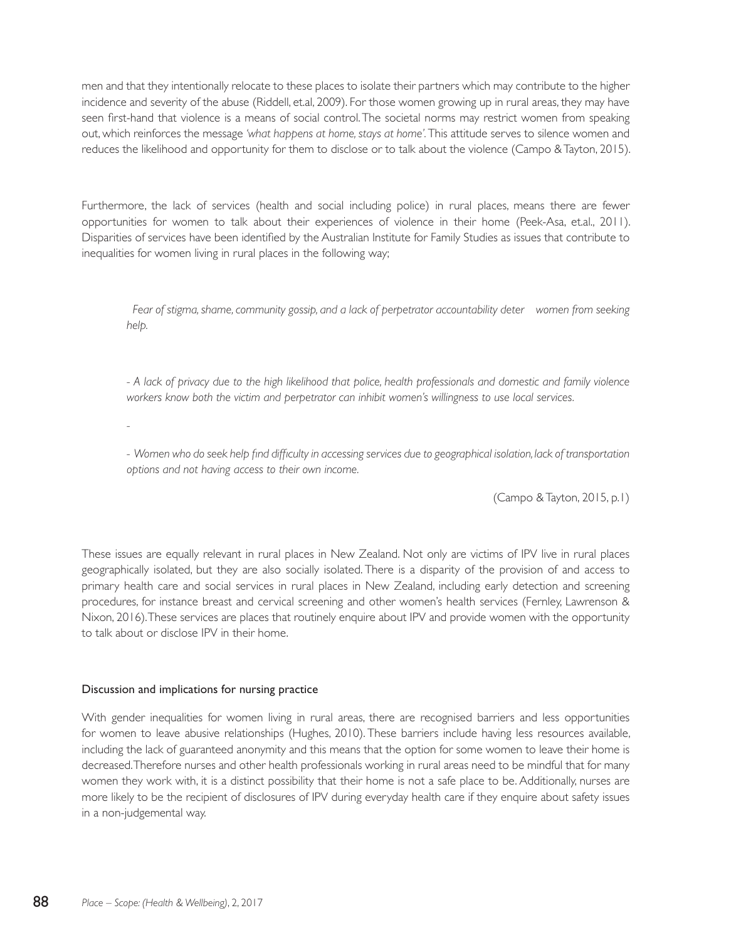men and that they intentionally relocate to these places to isolate their partners which may contribute to the higher incidence and severity of the abuse (Riddell, et.al, 2009). For those women growing up in rural areas, they may have seen first-hand that violence is a means of social control. The societal norms may restrict women from speaking out, which reinforces the message *'what happens at home, stays at home'.* This attitude serves to silence women and reduces the likelihood and opportunity for them to disclose or to talk about the violence (Campo & Tayton, 2015).

Furthermore, the lack of services (health and social including police) in rural places, means there are fewer opportunities for women to talk about their experiences of violence in their home (Peek-Asa, et.al., 2011). Disparities of services have been identified by the Australian Institute for Family Studies as issues that contribute to inequalities for women living in rural places in the following way;

 *Fear of stigma, shame, community gossip, and a lack of perpetrator accountability deter women from seeking help.* 

*- A lack of privacy due to the high likelihood that police, health professionals and domestic and family violence workers know both the victim and perpetrator can inhibit women's willingness to use local services.* 

*-*

- Women who do seek help find difficulty in accessing services due to geographical isolation, lack of transportation *options and not having access to their own income.*

(Campo & Tayton, 2015, p.1)

These issues are equally relevant in rural places in New Zealand. Not only are victims of IPV live in rural places geographically isolated, but they are also socially isolated. There is a disparity of the provision of and access to primary health care and social services in rural places in New Zealand, including early detection and screening procedures, for instance breast and cervical screening and other women's health services (Fernley, Lawrenson & Nixon, 2016). These services are places that routinely enquire about IPV and provide women with the opportunity to talk about or disclose IPV in their home.

#### Discussion and implications for nursing practice

With gender inequalities for women living in rural areas, there are recognised barriers and less opportunities for women to leave abusive relationships (Hughes, 2010). These barriers include having less resources available, including the lack of guaranteed anonymity and this means that the option for some women to leave their home is decreased. Therefore nurses and other health professionals working in rural areas need to be mindful that for many women they work with, it is a distinct possibility that their home is not a safe place to be. Additionally, nurses are more likely to be the recipient of disclosures of IPV during everyday health care if they enquire about safety issues in a non-judgemental way.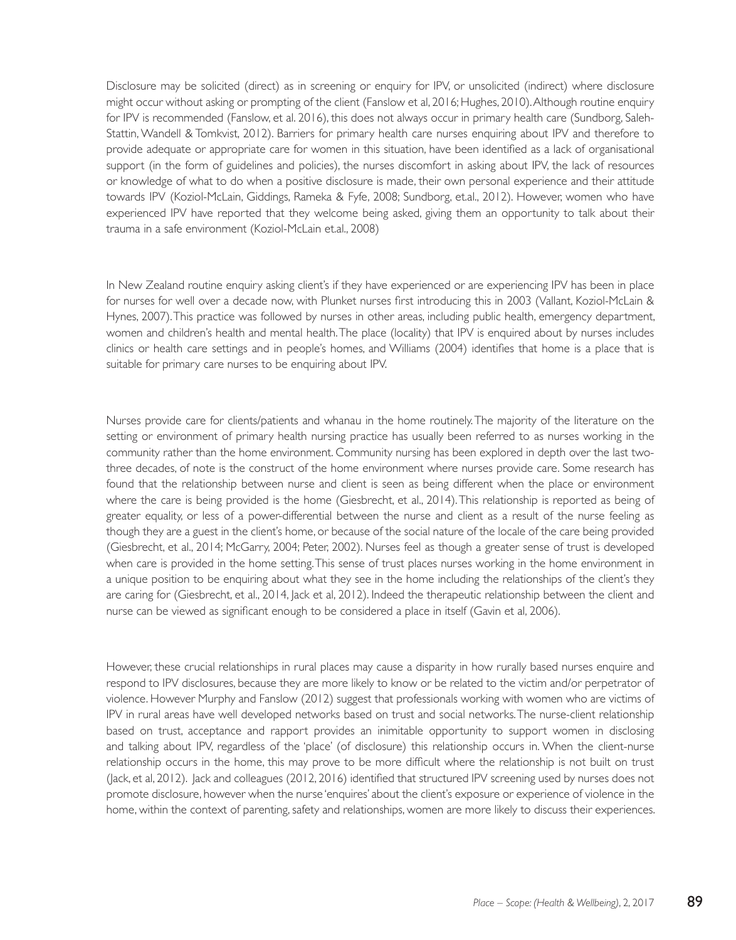Disclosure may be solicited (direct) as in screening or enquiry for IPV, or unsolicited (indirect) where disclosure might occur without asking or prompting of the client (Fanslow et al, 2016; Hughes, 2010). Although routine enquiry for IPV is recommended (Fanslow, et al. 2016), this does not always occur in primary health care (Sundborg, Saleh-Stattin, Wandell & Tomkvist, 2012). Barriers for primary health care nurses enquiring about IPV and therefore to provide adequate or appropriate care for women in this situation, have been identified as a lack of organisational support (in the form of guidelines and policies), the nurses discomfort in asking about IPV, the lack of resources or knowledge of what to do when a positive disclosure is made, their own personal experience and their attitude towards IPV (Koziol-McLain, Giddings, Rameka & Fyfe, 2008; Sundborg, et.al., 2012). However, women who have experienced IPV have reported that they welcome being asked, giving them an opportunity to talk about their trauma in a safe environment (Koziol-McLain et.al., 2008)

In New Zealand routine enquiry asking client's if they have experienced or are experiencing IPV has been in place for nurses for well over a decade now, with Plunket nurses first introducing this in 2003 (Vallant, Koziol-McLain & Hynes, 2007). This practice was followed by nurses in other areas, including public health, emergency department, women and children's health and mental health. The place (locality) that IPV is enquired about by nurses includes clinics or health care settings and in people's homes, and Williams (2004) identifies that home is a place that is suitable for primary care nurses to be enquiring about IPV.

Nurses provide care for clients/patients and whanau in the home routinely. The majority of the literature on the setting or environment of primary health nursing practice has usually been referred to as nurses working in the community rather than the home environment. Community nursing has been explored in depth over the last twothree decades, of note is the construct of the home environment where nurses provide care. Some research has found that the relationship between nurse and client is seen as being different when the place or environment where the care is being provided is the home (Giesbrecht, et al., 2014). This relationship is reported as being of greater equality, or less of a power-differential between the nurse and client as a result of the nurse feeling as though they are a guest in the client's home, or because of the social nature of the locale of the care being provided (Giesbrecht, et al., 2014; McGarry, 2004; Peter, 2002). Nurses feel as though a greater sense of trust is developed when care is provided in the home setting. This sense of trust places nurses working in the home environment in a unique position to be enquiring about what they see in the home including the relationships of the client's they are caring for (Giesbrecht, et al., 2014, Jack et al, 2012). Indeed the therapeutic relationship between the client and nurse can be viewed as significant enough to be considered a place in itself (Gavin et al, 2006).

However, these crucial relationships in rural places may cause a disparity in how rurally based nurses enquire and respond to IPV disclosures, because they are more likely to know or be related to the victim and/or perpetrator of violence. However Murphy and Fanslow (2012) suggest that professionals working with women who are victims of IPV in rural areas have well developed networks based on trust and social networks. The nurse-client relationship based on trust, acceptance and rapport provides an inimitable opportunity to support women in disclosing and talking about IPV, regardless of the 'place' (of disclosure) this relationship occurs in. When the client-nurse relationship occurs in the home, this may prove to be more difficult where the relationship is not built on trust (Jack, et al, 2012). Jack and colleagues (2012, 2016) identified that structured IPV screening used by nurses does not promote disclosure, however when the nurse 'enquires' about the client's exposure or experience of violence in the home, within the context of parenting, safety and relationships, women are more likely to discuss their experiences.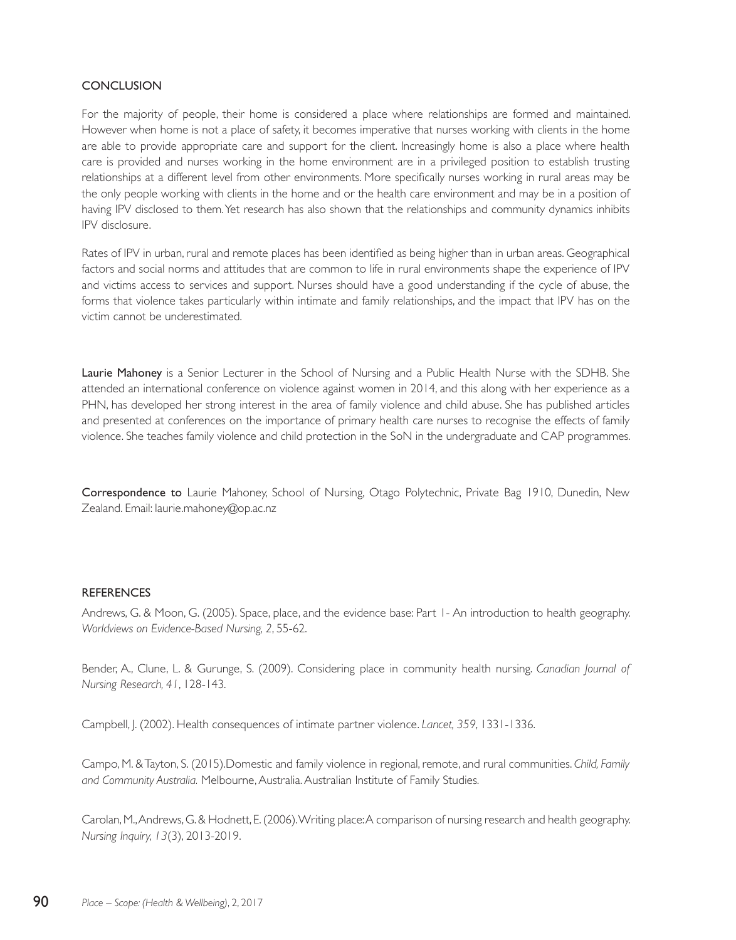#### **CONCLUSION**

For the majority of people, their home is considered a place where relationships are formed and maintained. However when home is not a place of safety, it becomes imperative that nurses working with clients in the home are able to provide appropriate care and support for the client. Increasingly home is also a place where health care is provided and nurses working in the home environment are in a privileged position to establish trusting relationships at a different level from other environments. More specifically nurses working in rural areas may be the only people working with clients in the home and or the health care environment and may be in a position of having IPV disclosed to them. Yet research has also shown that the relationships and community dynamics inhibits IPV disclosure.

Rates of IPV in urban, rural and remote places has been identified as being higher than in urban areas. Geographical factors and social norms and attitudes that are common to life in rural environments shape the experience of IPV and victims access to services and support. Nurses should have a good understanding if the cycle of abuse, the forms that violence takes particularly within intimate and family relationships, and the impact that IPV has on the victim cannot be underestimated.

Laurie Mahoney is a Senior Lecturer in the School of Nursing and a Public Health Nurse with the SDHB. She attended an international conference on violence against women in 2014, and this along with her experience as a PHN, has developed her strong interest in the area of family violence and child abuse. She has published articles and presented at conferences on the importance of primary health care nurses to recognise the effects of family violence. She teaches family violence and child protection in the SoN in the undergraduate and CAP programmes.

Correspondence to Laurie Mahoney, School of Nursing, Otago Polytechnic, Private Bag 1910, Dunedin, New Zealand. Email: laurie.mahoney@op.ac.nz

#### **REFERENCES**

Andrews, G. & Moon, G. (2005). Space, place, and the evidence base: Part 1- An introduction to health geography. *Worldviews on Evidence-Based Nursing, 2*, 55-62.

Bender, A., Clune, L. & Gurunge, S. (2009). Considering place in community health nursing. *Canadian Journal of Nursing Research, 41*, 128-143.

Campbell, J. (2002). Health consequences of intimate partner violence. *Lancet, 359*, 1331-1336.

Campo, M. & Tayton, S. (2015).Domestic and family violence in regional, remote, and rural communities. *Child, Family and Community Australia.* Melbourne, Australia. Australian Institute of Family Studies.

Carolan, M., Andrews, G. & Hodnett, E. (2006). Writing place: A comparison of nursing research and health geography. *Nursing Inquiry, 13*(3), 2013-2019.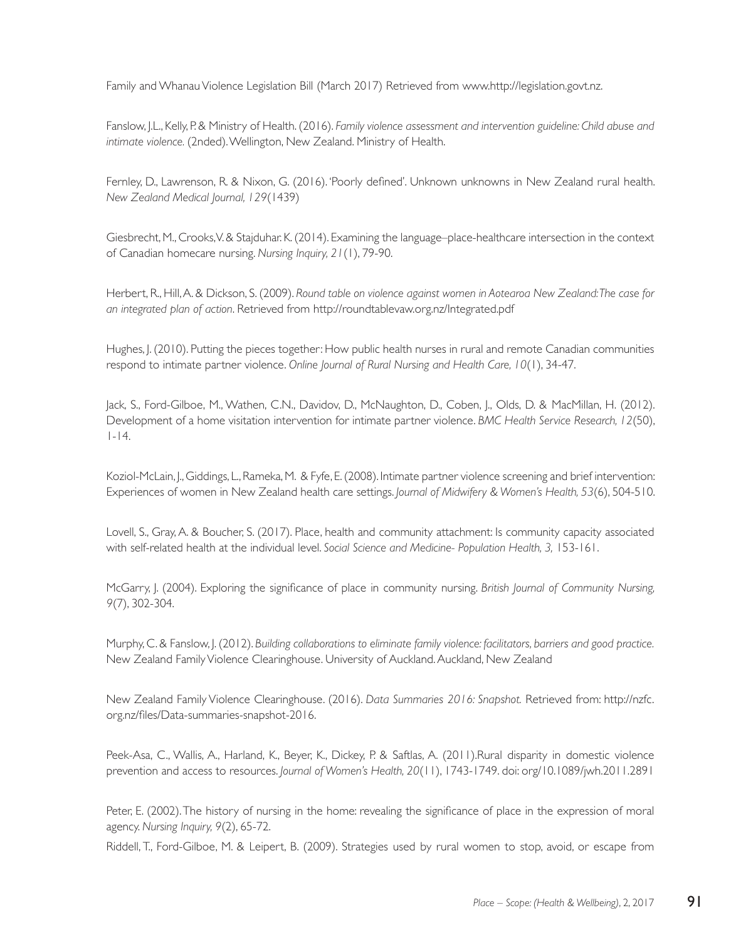Family and Whanau Violence Legislation Bill (March 2017) Retrieved from www.http://legislation.govt.nz.

Fanslow, J.L., Kelly, P. & Ministry of Health. (2016). *Family violence assessment and intervention guideline: Child abuse and intimate violence.* (2nded). Wellington, New Zealand. Ministry of Health.

Fernley, D., Lawrenson, R. & Nixon, G. (2016). 'Poorly defined'. Unknown unknowns in New Zealand rural health. *New Zealand Medical Journal, 129*(1439)

Giesbrecht, M., Crooks, V. & Stajduhar. K. (2014). Examining the language–place-healthcare intersection in the context of Canadian homecare nursing. *Nursing Inquiry, 21*(1), 79-90.

Herbert, R., Hill, A. & Dickson, S. (2009). *Round table on violence against women in Aotearoa New Zealand: The case for an integrated plan of action*. Retrieved from http://roundtablevaw.org.nz/Integrated.pdf

Hughes, J. (2010). Putting the pieces together: How public health nurses in rural and remote Canadian communities respond to intimate partner violence. *Online Journal of Rural Nursing and Health Care, 10*(1), 34-47.

Jack, S., Ford-Gilboe, M., Wathen, C.N., Davidov, D., McNaughton, D., Coben, J., Olds, D. & MacMillan, H. (2012). Development of a home visitation intervention for intimate partner violence. *BMC Health Service Research, 12*(50), 1-14.

Koziol-McLain, J., Giddings, L., Rameka, M. & Fyfe, E. (2008). Intimate partner violence screening and brief intervention: Experiences of women in New Zealand health care settings. *Journal of Midwifery & Women's Health, 53*(6), 504-510.

Lovell, S., Gray, A. & Boucher, S. (2017). Place, health and community attachment: Is community capacity associated with self-related health at the individual level. *Social Science and Medicine- Population Health, 3,* 153-161.

McGarry, J. (2004). Exploring the significance of place in community nursing. *British Journal of Community Nursing, 9*(7), 302-304.

Murphy, C. & Fanslow, J. (2012). *Building collaborations to eliminate family violence: facilitators, barriers and good practice.* New Zealand Family Violence Clearinghouse. University of Auckland. Auckland, New Zealand

New Zealand Family Violence Clearinghouse. (2016). *Data Summaries 2016: Snapshot.* Retrieved from: http://nzfc. org.nz/files/Data-summaries-snapshot-2016.

Peek-Asa, C., Wallis, A., Harland, K., Beyer, K., Dickey, P. & Saftlas, A. (2011).Rural disparity in domestic violence prevention and access to resources. *Journal of Women's Health, 20*(11), 1743-1749. doi: org/10.1089/jwh.2011.2891

Peter, E. (2002). The history of nursing in the home: revealing the significance of place in the expression of moral agency. *Nursing Inquiry, 9*(2), 65-72.

Riddell, T., Ford-Gilboe, M. & Leipert, B. (2009). Strategies used by rural women to stop, avoid, or escape from